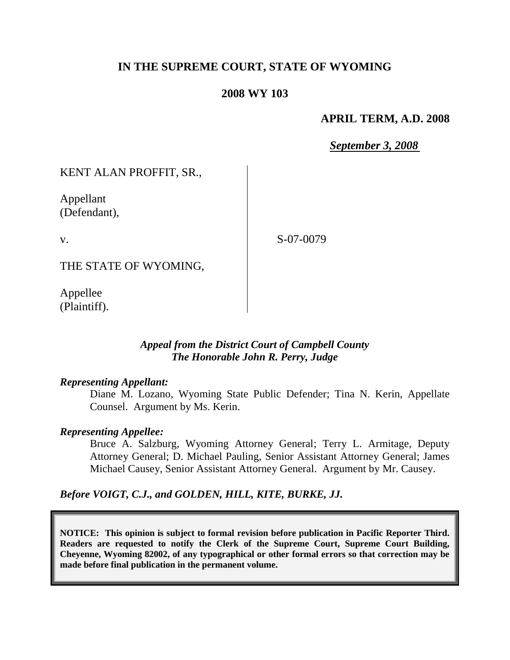## **IN THE SUPREME COURT, STATE OF WYOMING**

### **2008 WY 103**

### **APRIL TERM, A.D. 2008**

*September 3, 2008*

KENT ALAN PROFFIT, SR.,

Appellant (Defendant),

v.

S-07-0079

THE STATE OF WYOMING,

Appellee (Plaintiff).

### *Appeal from the District Court of Campbell County The Honorable John R. Perry, Judge*

#### *Representing Appellant:*

Diane M. Lozano, Wyoming State Public Defender; Tina N. Kerin, Appellate Counsel. Argument by Ms. Kerin.

#### *Representing Appellee:*

Bruce A. Salzburg, Wyoming Attorney General; Terry L. Armitage, Deputy Attorney General; D. Michael Pauling, Senior Assistant Attorney General; James Michael Causey, Senior Assistant Attorney General. Argument by Mr. Causey.

*Before VOIGT, C.J., and GOLDEN, HILL, KITE, BURKE, JJ.*

**NOTICE: This opinion is subject to formal revision before publication in Pacific Reporter Third. Readers are requested to notify the Clerk of the Supreme Court, Supreme Court Building, Cheyenne, Wyoming 82002, of any typographical or other formal errors so that correction may be made before final publication in the permanent volume.**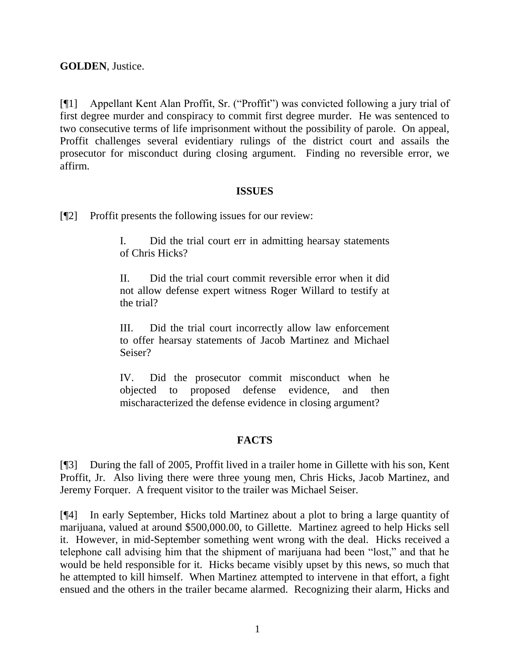## **GOLDEN**, Justice.

[¶1] Appellant Kent Alan Proffit, Sr. ("Proffit") was convicted following a jury trial of first degree murder and conspiracy to commit first degree murder. He was sentenced to two consecutive terms of life imprisonment without the possibility of parole. On appeal, Proffit challenges several evidentiary rulings of the district court and assails the prosecutor for misconduct during closing argument. Finding no reversible error, we affirm.

#### **ISSUES**

[¶2] Proffit presents the following issues for our review:

I. Did the trial court err in admitting hearsay statements of Chris Hicks?

II. Did the trial court commit reversible error when it did not allow defense expert witness Roger Willard to testify at the trial?

III. Did the trial court incorrectly allow law enforcement to offer hearsay statements of Jacob Martinez and Michael Seiser?

IV. Did the prosecutor commit misconduct when he objected to proposed defense evidence, and then mischaracterized the defense evidence in closing argument?

#### **FACTS**

[¶3] During the fall of 2005, Proffit lived in a trailer home in Gillette with his son, Kent Proffit, Jr. Also living there were three young men, Chris Hicks, Jacob Martinez, and Jeremy Forquer. A frequent visitor to the trailer was Michael Seiser.

[¶4] In early September, Hicks told Martinez about a plot to bring a large quantity of marijuana, valued at around \$500,000.00, to Gillette. Martinez agreed to help Hicks sell it. However, in mid-September something went wrong with the deal. Hicks received a telephone call advising him that the shipment of marijuana had been "lost," and that he would be held responsible for it. Hicks became visibly upset by this news, so much that he attempted to kill himself. When Martinez attempted to intervene in that effort, a fight ensued and the others in the trailer became alarmed. Recognizing their alarm, Hicks and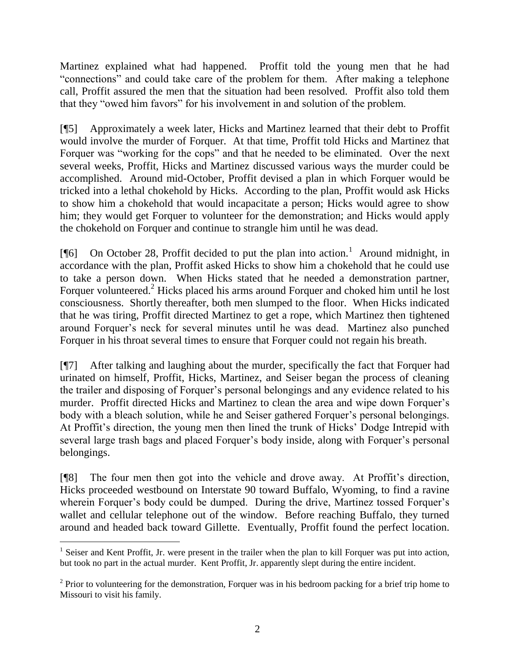Martinez explained what had happened. Proffit told the young men that he had "connections" and could take care of the problem for them. After making a telephone call, Proffit assured the men that the situation had been resolved. Proffit also told them that they "owed him favors" for his involvement in and solution of the problem.

[¶5] Approximately a week later, Hicks and Martinez learned that their debt to Proffit would involve the murder of Forquer. At that time, Proffit told Hicks and Martinez that Forquer was "working for the cops" and that he needed to be eliminated. Over the next several weeks, Proffit, Hicks and Martinez discussed various ways the murder could be accomplished. Around mid-October, Proffit devised a plan in which Forquer would be tricked into a lethal chokehold by Hicks. According to the plan, Proffit would ask Hicks to show him a chokehold that would incapacitate a person; Hicks would agree to show him; they would get Forquer to volunteer for the demonstration; and Hicks would apply the chokehold on Forquer and continue to strangle him until he was dead.

[ $[$ [6] On October 28, Proffit decided to put the plan into action.<sup>1</sup> Around midnight, in accordance with the plan, Proffit asked Hicks to show him a chokehold that he could use to take a person down. When Hicks stated that he needed a demonstration partner, Forquer volunteered.<sup>2</sup> Hicks placed his arms around Forquer and choked him until he lost consciousness. Shortly thereafter, both men slumped to the floor. When Hicks indicated that he was tiring, Proffit directed Martinez to get a rope, which Martinez then tightened around Forquer's neck for several minutes until he was dead. Martinez also punched Forquer in his throat several times to ensure that Forquer could not regain his breath.

[¶7] After talking and laughing about the murder, specifically the fact that Forquer had urinated on himself, Proffit, Hicks, Martinez, and Seiser began the process of cleaning the trailer and disposing of Forquer's personal belongings and any evidence related to his murder. Proffit directed Hicks and Martinez to clean the area and wipe down Forquer's body with a bleach solution, while he and Seiser gathered Forquer's personal belongings. At Proffit's direction, the young men then lined the trunk of Hicks' Dodge Intrepid with several large trash bags and placed Forquer's body inside, along with Forquer's personal belongings.

[¶8] The four men then got into the vehicle and drove away. At Proffit's direction, Hicks proceeded westbound on Interstate 90 toward Buffalo, Wyoming, to find a ravine wherein Forquer's body could be dumped. During the drive, Martinez tossed Forquer's wallet and cellular telephone out of the window. Before reaching Buffalo, they turned around and headed back toward Gillette. Eventually, Proffit found the perfect location.

 $\overline{a}$ <sup>1</sup> Seiser and Kent Proffit, Jr. were present in the trailer when the plan to kill Forquer was put into action, but took no part in the actual murder. Kent Proffit, Jr. apparently slept during the entire incident.

 $2$  Prior to volunteering for the demonstration, Forquer was in his bedroom packing for a brief trip home to Missouri to visit his family.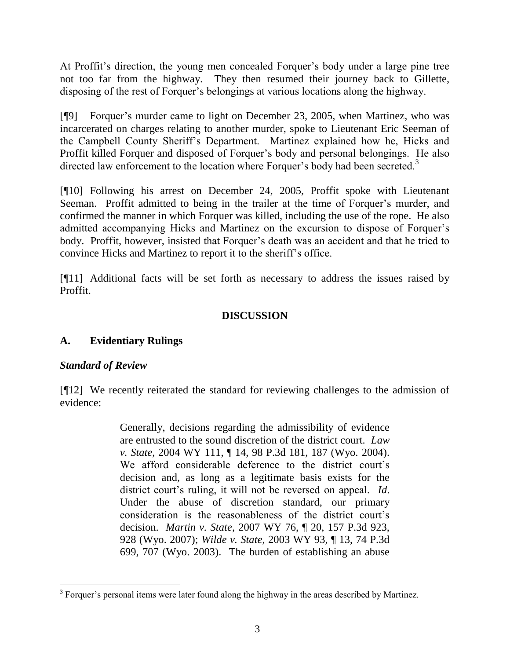At Proffit's direction, the young men concealed Forquer's body under a large pine tree not too far from the highway. They then resumed their journey back to Gillette, disposing of the rest of Forquer's belongings at various locations along the highway.

[¶9] Forquer's murder came to light on December 23, 2005, when Martinez, who was incarcerated on charges relating to another murder, spoke to Lieutenant Eric Seeman of the Campbell County Sheriff's Department. Martinez explained how he, Hicks and Proffit killed Forquer and disposed of Forquer's body and personal belongings. He also directed law enforcement to the location where Forquer's body had been secreted.<sup>3</sup>

[¶10] Following his arrest on December 24, 2005, Proffit spoke with Lieutenant Seeman. Proffit admitted to being in the trailer at the time of Forquer's murder, and confirmed the manner in which Forquer was killed, including the use of the rope. He also admitted accompanying Hicks and Martinez on the excursion to dispose of Forquer's body. Proffit, however, insisted that Forquer's death was an accident and that he tried to convince Hicks and Martinez to report it to the sheriff's office.

[¶11] Additional facts will be set forth as necessary to address the issues raised by Proffit.

### **DISCUSSION**

# **A. Evidentiary Rulings**

### *Standard of Review*

 $\overline{a}$ 

[¶12] We recently reiterated the standard for reviewing challenges to the admission of evidence:

> Generally, decisions regarding the admissibility of evidence are entrusted to the sound discretion of the district court. *Law v. State*, 2004 WY 111, ¶ 14, 98 P.3d 181, 187 (Wyo. 2004). We afford considerable deference to the district court's decision and, as long as a legitimate basis exists for the district court's ruling, it will not be reversed on appeal. *Id*. Under the abuse of discretion standard, our primary consideration is the reasonableness of the district court's decision. *Martin v. State*, 2007 WY 76, ¶ 20, 157 P.3d 923, 928 (Wyo. 2007); *Wilde v. State*, 2003 WY 93, ¶ 13, 74 P.3d 699, 707 (Wyo. 2003). The burden of establishing an abuse

<sup>&</sup>lt;sup>3</sup> Forquer's personal items were later found along the highway in the areas described by Martinez.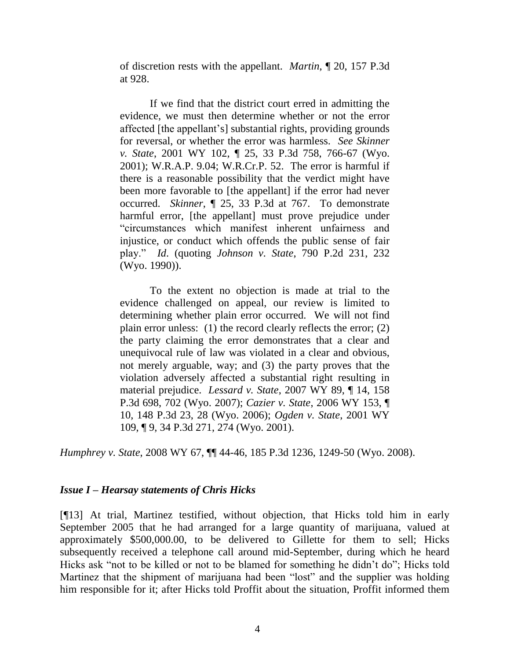of discretion rests with the appellant. *Martin*, ¶ 20, 157 P.3d at 928.

If we find that the district court erred in admitting the evidence, we must then determine whether or not the error affected [the appellant's] substantial rights, providing grounds for reversal, or whether the error was harmless. *See Skinner v. State*, 2001 WY 102, ¶ 25, 33 P.3d 758, 766-67 (Wyo. 2001); W.R.A.P. 9.04; W.R.Cr.P. 52. The error is harmful if there is a reasonable possibility that the verdict might have been more favorable to [the appellant] if the error had never occurred. *Skinner*, ¶ 25, 33 P.3d at 767. To demonstrate harmful error, [the appellant] must prove prejudice under "circumstances which manifest inherent unfairness and injustice, or conduct which offends the public sense of fair play." *Id*. (quoting *Johnson v. State*, 790 P.2d 231, 232 (Wyo. 1990)).

To the extent no objection is made at trial to the evidence challenged on appeal, our review is limited to determining whether plain error occurred. We will not find plain error unless: (1) the record clearly reflects the error; (2) the party claiming the error demonstrates that a clear and unequivocal rule of law was violated in a clear and obvious, not merely arguable, way; and (3) the party proves that the violation adversely affected a substantial right resulting in material prejudice. *Lessard v. State*, 2007 WY 89, ¶ 14, 158 P.3d 698, 702 (Wyo. 2007); *Cazier v. State*, 2006 WY 153, ¶ 10, 148 P.3d 23, 28 (Wyo. 2006); *Ogden v. State*, 2001 WY 109, ¶ 9, 34 P.3d 271, 274 (Wyo. 2001).

*Humphrey v. State*, 2008 WY 67, ¶¶ 44-46, 185 P.3d 1236, 1249-50 (Wyo. 2008).

#### *Issue I – Hearsay statements of Chris Hicks*

[¶13] At trial, Martinez testified, without objection, that Hicks told him in early September 2005 that he had arranged for a large quantity of marijuana, valued at approximately \$500,000.00, to be delivered to Gillette for them to sell; Hicks subsequently received a telephone call around mid-September, during which he heard Hicks ask "not to be killed or not to be blamed for something he didn't do"; Hicks told Martinez that the shipment of marijuana had been "lost" and the supplier was holding him responsible for it; after Hicks told Proffit about the situation, Proffit informed them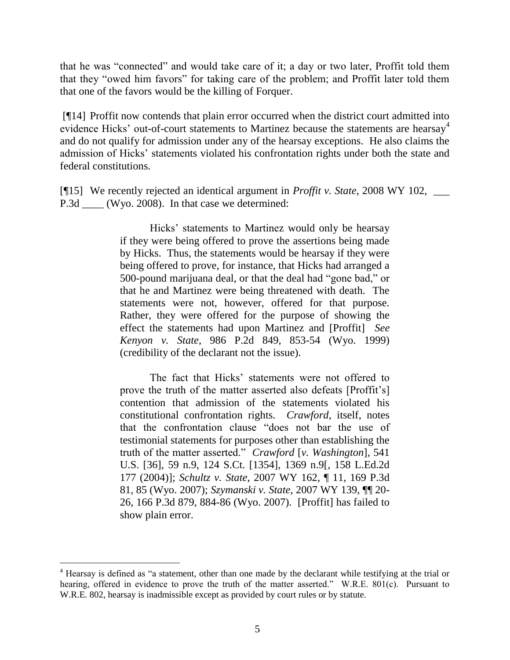that he was "connected" and would take care of it; a day or two later, Proffit told them that they "owed him favors" for taking care of the problem; and Proffit later told them that one of the favors would be the killing of Forquer.

[¶14] Proffit now contends that plain error occurred when the district court admitted into evidence Hicks' out-of-court statements to Martinez because the statements are hearsay<sup>4</sup> and do not qualify for admission under any of the hearsay exceptions. He also claims the admission of Hicks' statements violated his confrontation rights under both the state and federal constitutions.

[¶15] We recently rejected an identical argument in *Proffit v. State*, 2008 WY 102, \_\_\_ P.3d \_\_\_\_ (Wyo. 2008). In that case we determined:

> Hicks' statements to Martinez would only be hearsay if they were being offered to prove the assertions being made by Hicks. Thus, the statements would be hearsay if they were being offered to prove, for instance, that Hicks had arranged a 500-pound marijuana deal, or that the deal had "gone bad," or that he and Martinez were being threatened with death. The statements were not, however, offered for that purpose. Rather, they were offered for the purpose of showing the effect the statements had upon Martinez and [Proffit] *See Kenyon v. State*, 986 P.2d 849, 853-54 (Wyo. 1999) (credibility of the declarant not the issue).

> The fact that Hicks' statements were not offered to prove the truth of the matter asserted also defeats [Proffit's] contention that admission of the statements violated his constitutional confrontation rights. *Crawford*, itself, notes that the confrontation clause "does not bar the use of testimonial statements for purposes other than establishing the truth of the matter asserted." *Crawford* [*v. Washington*], 541 U.S. [36], 59 n.9, 124 S.Ct. [1354], 1369 n.9[, 158 L.Ed.2d 177 (2004)]; *Schultz v. State*, 2007 WY 162, ¶ 11, 169 P.3d 81, 85 (Wyo. 2007); *Szymanski v. State*, 2007 WY 139, ¶¶ 20- 26, 166 P.3d 879, 884-86 (Wyo. 2007). [Proffit] has failed to show plain error.

 $\overline{a}$ 

 $4$  Hearsay is defined as "a statement, other than one made by the declarant while testifying at the trial or hearing, offered in evidence to prove the truth of the matter asserted." W.R.E. 801(c). Pursuant to W.R.E. 802, hearsay is inadmissible except as provided by court rules or by statute.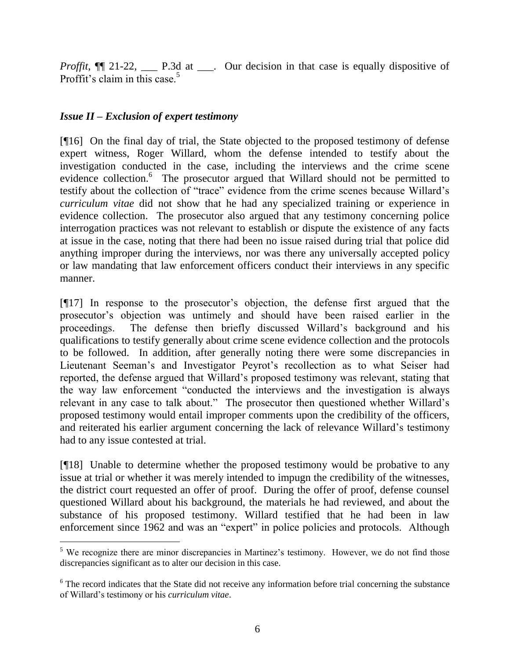*Proffit*,  $\P$  21-22, \_\_\_\_ P.3d at \_\_\_. Our decision in that case is equally dispositive of Proffit's claim in this case.<sup>5</sup>

# *Issue II – Exclusion of expert testimony*

[¶16] On the final day of trial, the State objected to the proposed testimony of defense expert witness, Roger Willard, whom the defense intended to testify about the investigation conducted in the case, including the interviews and the crime scene evidence collection.<sup>6</sup> The prosecutor argued that Willard should not be permitted to testify about the collection of "trace" evidence from the crime scenes because Willard's *curriculum vitae* did not show that he had any specialized training or experience in evidence collection. The prosecutor also argued that any testimony concerning police interrogation practices was not relevant to establish or dispute the existence of any facts at issue in the case, noting that there had been no issue raised during trial that police did anything improper during the interviews, nor was there any universally accepted policy or law mandating that law enforcement officers conduct their interviews in any specific manner.

[¶17] In response to the prosecutor's objection, the defense first argued that the prosecutor's objection was untimely and should have been raised earlier in the proceedings. The defense then briefly discussed Willard's background and his qualifications to testify generally about crime scene evidence collection and the protocols to be followed. In addition, after generally noting there were some discrepancies in Lieutenant Seeman's and Investigator Peyrot's recollection as to what Seiser had reported, the defense argued that Willard's proposed testimony was relevant, stating that the way law enforcement "conducted the interviews and the investigation is always relevant in any case to talk about." The prosecutor then questioned whether Willard's proposed testimony would entail improper comments upon the credibility of the officers, and reiterated his earlier argument concerning the lack of relevance Willard's testimony had to any issue contested at trial.

[¶18] Unable to determine whether the proposed testimony would be probative to any issue at trial or whether it was merely intended to impugn the credibility of the witnesses, the district court requested an offer of proof. During the offer of proof, defense counsel questioned Willard about his background, the materials he had reviewed, and about the substance of his proposed testimony. Willard testified that he had been in law enforcement since 1962 and was an "expert" in police policies and protocols. Although

 $\overline{a}$ <sup>5</sup> We recognize there are minor discrepancies in Martinez's testimony. However, we do not find those discrepancies significant as to alter our decision in this case.

<sup>&</sup>lt;sup>6</sup> The record indicates that the State did not receive any information before trial concerning the substance of Willard's testimony or his *curriculum vitae*.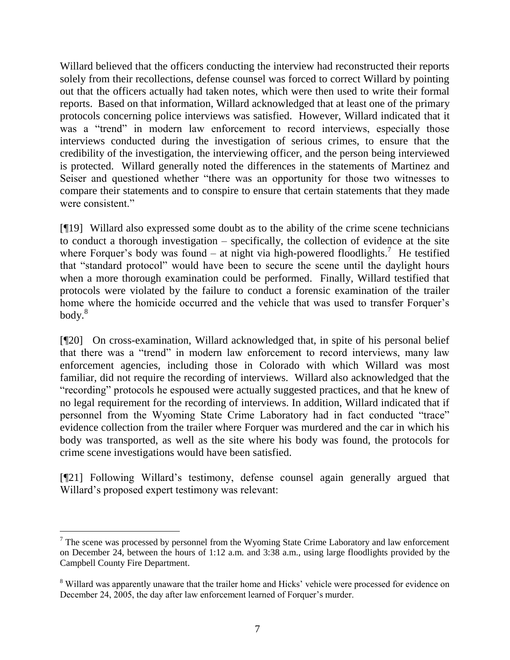Willard believed that the officers conducting the interview had reconstructed their reports solely from their recollections, defense counsel was forced to correct Willard by pointing out that the officers actually had taken notes, which were then used to write their formal reports. Based on that information, Willard acknowledged that at least one of the primary protocols concerning police interviews was satisfied. However, Willard indicated that it was a "trend" in modern law enforcement to record interviews, especially those interviews conducted during the investigation of serious crimes, to ensure that the credibility of the investigation, the interviewing officer, and the person being interviewed is protected. Willard generally noted the differences in the statements of Martinez and Seiser and questioned whether "there was an opportunity for those two witnesses to compare their statements and to conspire to ensure that certain statements that they made were consistent."

[¶19] Willard also expressed some doubt as to the ability of the crime scene technicians to conduct a thorough investigation – specifically, the collection of evidence at the site where Forquer's body was found – at night via high-powered floodlights.<sup>7</sup> He testified that "standard protocol" would have been to secure the scene until the daylight hours when a more thorough examination could be performed. Finally, Willard testified that protocols were violated by the failure to conduct a forensic examination of the trailer home where the homicide occurred and the vehicle that was used to transfer Forquer's  $body.<sup>8</sup>$ 

[¶20] On cross-examination, Willard acknowledged that, in spite of his personal belief that there was a "trend" in modern law enforcement to record interviews, many law enforcement agencies, including those in Colorado with which Willard was most familiar, did not require the recording of interviews. Willard also acknowledged that the "recording" protocols he espoused were actually suggested practices, and that he knew of no legal requirement for the recording of interviews. In addition, Willard indicated that if personnel from the Wyoming State Crime Laboratory had in fact conducted "trace" evidence collection from the trailer where Forquer was murdered and the car in which his body was transported, as well as the site where his body was found, the protocols for crime scene investigations would have been satisfied.

[¶21] Following Willard's testimony, defense counsel again generally argued that Willard's proposed expert testimony was relevant:

 $\overline{a}$ 

 $<sup>7</sup>$  The scene was processed by personnel from the Wyoming State Crime Laboratory and law enforcement</sup> on December 24, between the hours of 1:12 a.m. and 3:38 a.m., using large floodlights provided by the Campbell County Fire Department.

<sup>8</sup> Willard was apparently unaware that the trailer home and Hicks' vehicle were processed for evidence on December 24, 2005, the day after law enforcement learned of Forquer's murder.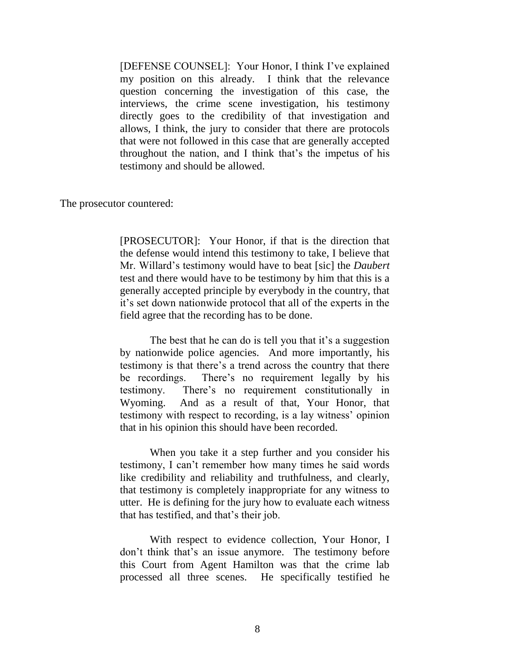[DEFENSE COUNSEL]: Your Honor, I think I've explained my position on this already. I think that the relevance question concerning the investigation of this case, the interviews, the crime scene investigation, his testimony directly goes to the credibility of that investigation and allows, I think, the jury to consider that there are protocols that were not followed in this case that are generally accepted throughout the nation, and I think that's the impetus of his testimony and should be allowed.

The prosecutor countered:

[PROSECUTOR]: Your Honor, if that is the direction that the defense would intend this testimony to take, I believe that Mr. Willard's testimony would have to beat [sic] the *Daubert* test and there would have to be testimony by him that this is a generally accepted principle by everybody in the country, that it's set down nationwide protocol that all of the experts in the field agree that the recording has to be done.

The best that he can do is tell you that it's a suggestion by nationwide police agencies. And more importantly, his testimony is that there's a trend across the country that there be recordings. There's no requirement legally by his testimony. There's no requirement constitutionally in Wyoming. And as a result of that, Your Honor, that testimony with respect to recording, is a lay witness' opinion that in his opinion this should have been recorded.

When you take it a step further and you consider his testimony, I can't remember how many times he said words like credibility and reliability and truthfulness, and clearly, that testimony is completely inappropriate for any witness to utter. He is defining for the jury how to evaluate each witness that has testified, and that's their job.

With respect to evidence collection, Your Honor, I don't think that's an issue anymore. The testimony before this Court from Agent Hamilton was that the crime lab processed all three scenes. He specifically testified he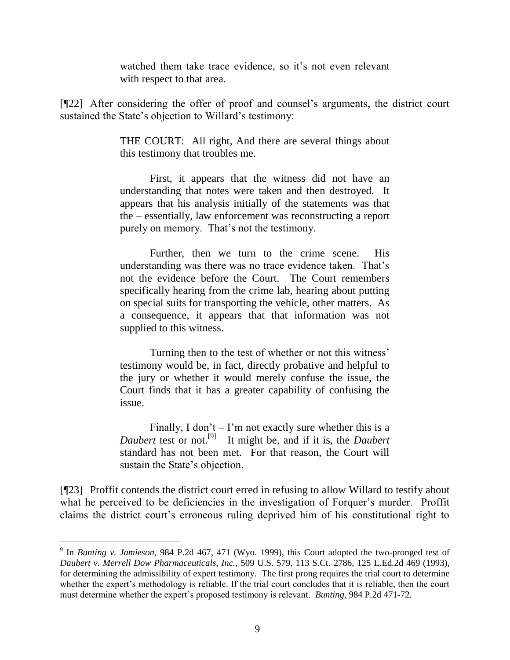watched them take trace evidence, so it's not even relevant with respect to that area.

[¶22] After considering the offer of proof and counsel's arguments, the district court sustained the State's objection to Willard's testimony:

> THE COURT: All right, And there are several things about this testimony that troubles me.

> First, it appears that the witness did not have an understanding that notes were taken and then destroyed. It appears that his analysis initially of the statements was that the – essentially, law enforcement was reconstructing a report purely on memory. That's not the testimony.

> Further, then we turn to the crime scene. His understanding was there was no trace evidence taken. That's not the evidence before the Court. The Court remembers specifically hearing from the crime lab, hearing about putting on special suits for transporting the vehicle, other matters. As a consequence, it appears that that information was not supplied to this witness.

> Turning then to the test of whether or not this witness' testimony would be, in fact, directly probative and helpful to the jury or whether it would merely confuse the issue, the Court finds that it has a greater capability of confusing the issue.

> Finally, I don't  $-$  I'm not exactly sure whether this is a *Daubert* test or not.[9] It might be, and if it is, the *Daubert* standard has not been met. For that reason, the Court will sustain the State's objection.

[¶23] Proffit contends the district court erred in refusing to allow Willard to testify about what he perceived to be deficiencies in the investigation of Forquer's murder. Proffit claims the district court's erroneous ruling deprived him of his constitutional right to

 9 In *Bunting v. Jamieson*, 984 P.2d 467, 471 (Wyo. 1999), this Court adopted the two-pronged test of *Daubert v. Merrell Dow Pharmaceuticals, Inc.*, 509 U.S. 579, 113 S.Ct. 2786, 125 L.Ed.2d 469 (1993), for determining the admissibility of expert testimony. The first prong requires the trial court to determine whether the expert's methodology is reliable. If the trial court concludes that it is reliable, then the court must determine whether the expert's proposed testimony is relevant. *Bunting*, 984 P.2d 471-72.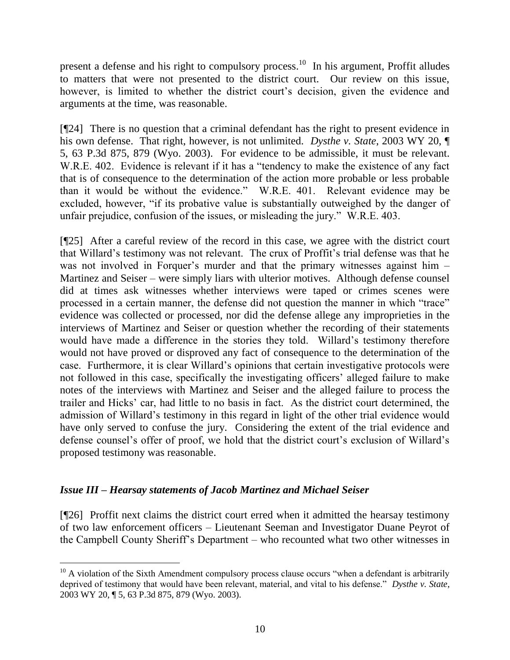present a defense and his right to compulsory process.<sup>10</sup> In his argument, Proffit alludes to matters that were not presented to the district court. Our review on this issue, however, is limited to whether the district court's decision, given the evidence and arguments at the time, was reasonable.

[¶24] There is no question that a criminal defendant has the right to present evidence in his own defense. That right, however, is not unlimited. *Dysthe v. State*, 2003 WY 20, ¶ 5, 63 P.3d 875, 879 (Wyo. 2003). For evidence to be admissible, it must be relevant. W.R.E. 402. Evidence is relevant if it has a "tendency to make the existence of any fact that is of consequence to the determination of the action more probable or less probable than it would be without the evidence." W.R.E. 401. Relevant evidence may be excluded, however, "if its probative value is substantially outweighed by the danger of unfair prejudice, confusion of the issues, or misleading the jury." W.R.E. 403.

[¶25] After a careful review of the record in this case, we agree with the district court that Willard's testimony was not relevant. The crux of Proffit's trial defense was that he was not involved in Forquer's murder and that the primary witnesses against him – Martinez and Seiser – were simply liars with ulterior motives. Although defense counsel did at times ask witnesses whether interviews were taped or crimes scenes were processed in a certain manner, the defense did not question the manner in which "trace" evidence was collected or processed, nor did the defense allege any improprieties in the interviews of Martinez and Seiser or question whether the recording of their statements would have made a difference in the stories they told. Willard's testimony therefore would not have proved or disproved any fact of consequence to the determination of the case. Furthermore, it is clear Willard's opinions that certain investigative protocols were not followed in this case, specifically the investigating officers' alleged failure to make notes of the interviews with Martinez and Seiser and the alleged failure to process the trailer and Hicks' car, had little to no basis in fact. As the district court determined, the admission of Willard's testimony in this regard in light of the other trial evidence would have only served to confuse the jury. Considering the extent of the trial evidence and defense counsel's offer of proof, we hold that the district court's exclusion of Willard's proposed testimony was reasonable.

### *Issue III – Hearsay statements of Jacob Martinez and Michael Seiser*

 $\overline{a}$ 

[¶26] Proffit next claims the district court erred when it admitted the hearsay testimony of two law enforcement officers – Lieutenant Seeman and Investigator Duane Peyrot of the Campbell County Sheriff's Department – who recounted what two other witnesses in

 $10$  A violation of the Sixth Amendment compulsory process clause occurs "when a defendant is arbitrarily deprived of testimony that would have been relevant, material, and vital to his defense." *Dysthe v. State*, 2003 WY 20, ¶ 5, 63 P.3d 875, 879 (Wyo. 2003).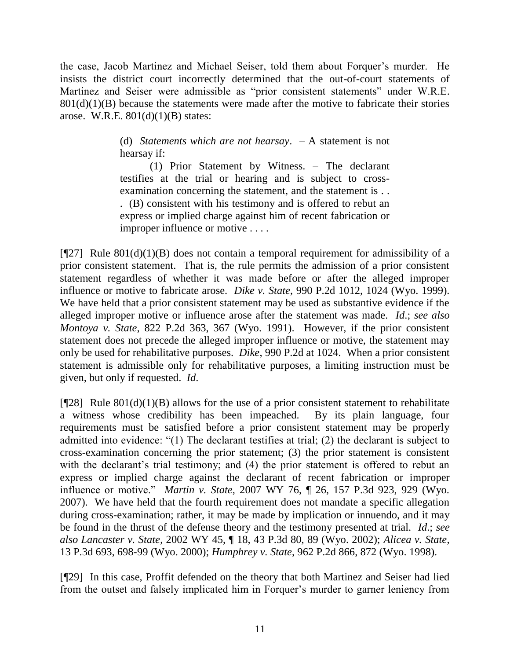the case, Jacob Martinez and Michael Seiser, told them about Forquer's murder. He insists the district court incorrectly determined that the out-of-court statements of Martinez and Seiser were admissible as "prior consistent statements" under W.R.E.  $801(d)(1)(B)$  because the statements were made after the motive to fabricate their stories arose. W.R.E.  $801(d)(1)(B)$  states:

> (d) *Statements which are not hearsay*. – A statement is not hearsay if:

> (1) Prior Statement by Witness. – The declarant testifies at the trial or hearing and is subject to crossexamination concerning the statement, and the statement is . . . (B) consistent with his testimony and is offered to rebut an express or implied charge against him of recent fabrication or improper influence or motive . . . .

 $[$ [[27] Rule 801(d)(1)(B) does not contain a temporal requirement for admissibility of a prior consistent statement. That is, the rule permits the admission of a prior consistent statement regardless of whether it was made before or after the alleged improper influence or motive to fabricate arose. *Dike v. State*, 990 P.2d 1012, 1024 (Wyo. 1999). We have held that a prior consistent statement may be used as substantive evidence if the alleged improper motive or influence arose after the statement was made. *Id*.; *see also Montoya v. State*, 822 P.2d 363, 367 (Wyo. 1991). However, if the prior consistent statement does not precede the alleged improper influence or motive, the statement may only be used for rehabilitative purposes. *Dike*, 990 P.2d at 1024. When a prior consistent statement is admissible only for rehabilitative purposes, a limiting instruction must be given, but only if requested. *Id*.

[ $[28]$ ] Rule  $801(d)(1)(B)$  allows for the use of a prior consistent statement to rehabilitate a witness whose credibility has been impeached. By its plain language, four requirements must be satisfied before a prior consistent statement may be properly admitted into evidence: "(1) The declarant testifies at trial; (2) the declarant is subject to cross-examination concerning the prior statement; (3) the prior statement is consistent with the declarant's trial testimony; and (4) the prior statement is offered to rebut an express or implied charge against the declarant of recent fabrication or improper influence or motive." *Martin v. State*, 2007 WY 76, ¶ 26, 157 P.3d 923, 929 (Wyo. 2007). We have held that the fourth requirement does not mandate a specific allegation during cross-examination; rather, it may be made by implication or innuendo, and it may be found in the thrust of the defense theory and the testimony presented at trial. *Id*.; *see also Lancaster v. State*, 2002 WY 45, ¶ 18, 43 P.3d 80, 89 (Wyo. 2002); *Alicea v. State*, 13 P.3d 693, 698-99 (Wyo. 2000); *Humphrey v. State*, 962 P.2d 866, 872 (Wyo. 1998).

[¶29] In this case, Proffit defended on the theory that both Martinez and Seiser had lied from the outset and falsely implicated him in Forquer's murder to garner leniency from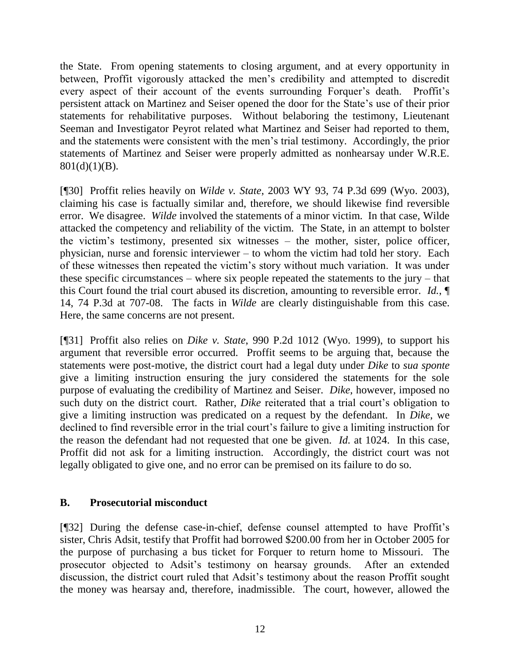the State. From opening statements to closing argument, and at every opportunity in between, Proffit vigorously attacked the men's credibility and attempted to discredit every aspect of their account of the events surrounding Forquer's death. Proffit's persistent attack on Martinez and Seiser opened the door for the State's use of their prior statements for rehabilitative purposes. Without belaboring the testimony, Lieutenant Seeman and Investigator Peyrot related what Martinez and Seiser had reported to them, and the statements were consistent with the men's trial testimony. Accordingly, the prior statements of Martinez and Seiser were properly admitted as nonhearsay under W.R.E.  $801(d)(1)(B)$ .

[¶30] Proffit relies heavily on *Wilde v. State*, 2003 WY 93, 74 P.3d 699 (Wyo. 2003), claiming his case is factually similar and, therefore, we should likewise find reversible error. We disagree. *Wilde* involved the statements of a minor victim. In that case, Wilde attacked the competency and reliability of the victim. The State, in an attempt to bolster the victim's testimony, presented six witnesses – the mother, sister, police officer, physician, nurse and forensic interviewer – to whom the victim had told her story. Each of these witnesses then repeated the victim's story without much variation. It was under these specific circumstances – where six people repeated the statements to the jury – that this Court found the trial court abused its discretion, amounting to reversible error. *Id.*, ¶ 14, 74 P.3d at 707-08. The facts in *Wilde* are clearly distinguishable from this case. Here, the same concerns are not present.

[¶31] Proffit also relies on *Dike v. State*, 990 P.2d 1012 (Wyo. 1999), to support his argument that reversible error occurred. Proffit seems to be arguing that, because the statements were post-motive, the district court had a legal duty under *Dike* to *sua sponte* give a limiting instruction ensuring the jury considered the statements for the sole purpose of evaluating the credibility of Martinez and Seiser. *Dike*, however, imposed no such duty on the district court. Rather, *Dike* reiterated that a trial court's obligation to give a limiting instruction was predicated on a request by the defendant. In *Dike*, we declined to find reversible error in the trial court's failure to give a limiting instruction for the reason the defendant had not requested that one be given. *Id.* at 1024. In this case, Proffit did not ask for a limiting instruction. Accordingly, the district court was not legally obligated to give one, and no error can be premised on its failure to do so.

### **B. Prosecutorial misconduct**

[¶32] During the defense case-in-chief, defense counsel attempted to have Proffit's sister, Chris Adsit, testify that Proffit had borrowed \$200.00 from her in October 2005 for the purpose of purchasing a bus ticket for Forquer to return home to Missouri. The prosecutor objected to Adsit's testimony on hearsay grounds. After an extended discussion, the district court ruled that Adsit's testimony about the reason Proffit sought the money was hearsay and, therefore, inadmissible. The court, however, allowed the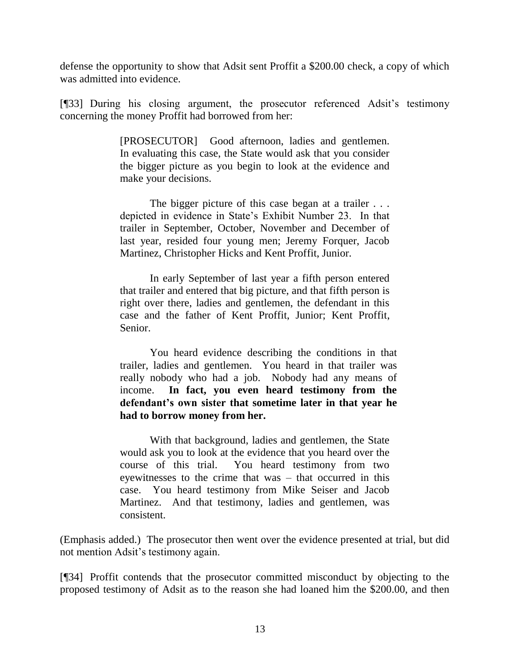defense the opportunity to show that Adsit sent Proffit a \$200.00 check, a copy of which was admitted into evidence.

[¶33] During his closing argument, the prosecutor referenced Adsit's testimony concerning the money Proffit had borrowed from her:

> [PROSECUTOR] Good afternoon, ladies and gentlemen. In evaluating this case, the State would ask that you consider the bigger picture as you begin to look at the evidence and make your decisions.

> The bigger picture of this case began at a trailer . . . depicted in evidence in State's Exhibit Number 23. In that trailer in September, October, November and December of last year, resided four young men; Jeremy Forquer, Jacob Martinez, Christopher Hicks and Kent Proffit, Junior.

> In early September of last year a fifth person entered that trailer and entered that big picture, and that fifth person is right over there, ladies and gentlemen, the defendant in this case and the father of Kent Proffit, Junior; Kent Proffit, Senior.

You heard evidence describing the conditions in that trailer, ladies and gentlemen. You heard in that trailer was really nobody who had a job. Nobody had any means of income. **In fact, you even heard testimony from the defendant's own sister that sometime later in that year he had to borrow money from her.**

With that background, ladies and gentlemen, the State would ask you to look at the evidence that you heard over the course of this trial. You heard testimony from two eyewitnesses to the crime that was – that occurred in this case. You heard testimony from Mike Seiser and Jacob Martinez. And that testimony, ladies and gentlemen, was consistent.

(Emphasis added.) The prosecutor then went over the evidence presented at trial, but did not mention Adsit's testimony again.

[¶34] Proffit contends that the prosecutor committed misconduct by objecting to the proposed testimony of Adsit as to the reason she had loaned him the \$200.00, and then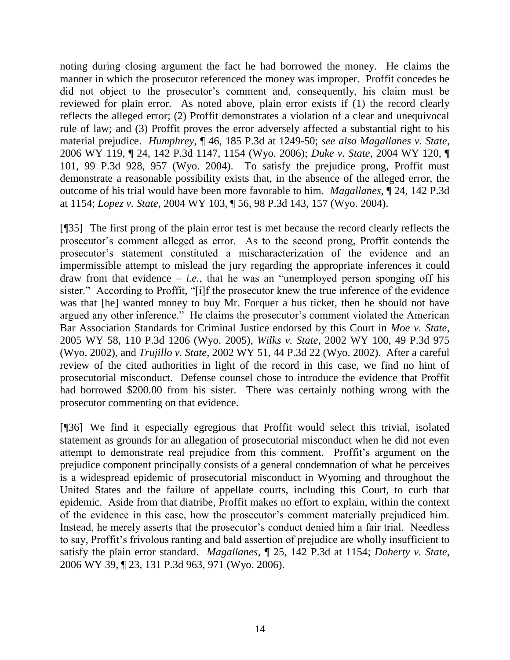noting during closing argument the fact he had borrowed the money. He claims the manner in which the prosecutor referenced the money was improper. Proffit concedes he did not object to the prosecutor's comment and, consequently, his claim must be reviewed for plain error. As noted above, plain error exists if (1) the record clearly reflects the alleged error; (2) Proffit demonstrates a violation of a clear and unequivocal rule of law; and (3) Proffit proves the error adversely affected a substantial right to his material prejudice. *Humphrey*, ¶ 46, 185 P.3d at 1249-50; *see also Magallanes v. State*, 2006 WY 119, ¶ 24, 142 P.3d 1147, 1154 (Wyo. 2006); *Duke v. State*, 2004 WY 120, ¶ 101, 99 P.3d 928, 957 (Wyo. 2004). To satisfy the prejudice prong, Proffit must demonstrate a reasonable possibility exists that, in the absence of the alleged error, the outcome of his trial would have been more favorable to him. *Magallanes*, ¶ 24, 142 P.3d at 1154; *Lopez v. State*, 2004 WY 103, ¶ 56, 98 P.3d 143, 157 (Wyo. 2004).

[¶35] The first prong of the plain error test is met because the record clearly reflects the prosecutor's comment alleged as error. As to the second prong, Proffit contends the prosecutor's statement constituted a mischaracterization of the evidence and an impermissible attempt to mislead the jury regarding the appropriate inferences it could draw from that evidence  $-$  *i.e.*, that he was an "unemployed person sponging off his sister." According to Proffit, "[i]f the prosecutor knew the true inference of the evidence was that [he] wanted money to buy Mr. Forquer a bus ticket, then he should not have argued any other inference." He claims the prosecutor's comment violated the American Bar Association Standards for Criminal Justice endorsed by this Court in *Moe v. State*, 2005 WY 58, 110 P.3d 1206 (Wyo. 2005), *Wilks v. State*, 2002 WY 100, 49 P.3d 975 (Wyo. 2002), and *Trujillo v. State*, 2002 WY 51, 44 P.3d 22 (Wyo. 2002). After a careful review of the cited authorities in light of the record in this case, we find no hint of prosecutorial misconduct. Defense counsel chose to introduce the evidence that Proffit had borrowed \$200.00 from his sister. There was certainly nothing wrong with the prosecutor commenting on that evidence.

[¶36] We find it especially egregious that Proffit would select this trivial, isolated statement as grounds for an allegation of prosecutorial misconduct when he did not even attempt to demonstrate real prejudice from this comment. Proffit's argument on the prejudice component principally consists of a general condemnation of what he perceives is a widespread epidemic of prosecutorial misconduct in Wyoming and throughout the United States and the failure of appellate courts, including this Court, to curb that epidemic. Aside from that diatribe, Proffit makes no effort to explain, within the context of the evidence in this case, how the prosecutor's comment materially prejudiced him. Instead, he merely asserts that the prosecutor's conduct denied him a fair trial. Needless to say, Proffit's frivolous ranting and bald assertion of prejudice are wholly insufficient to satisfy the plain error standard. *Magallanes*, ¶ 25, 142 P.3d at 1154; *Doherty v. State*, 2006 WY 39, ¶ 23, 131 P.3d 963, 971 (Wyo. 2006).